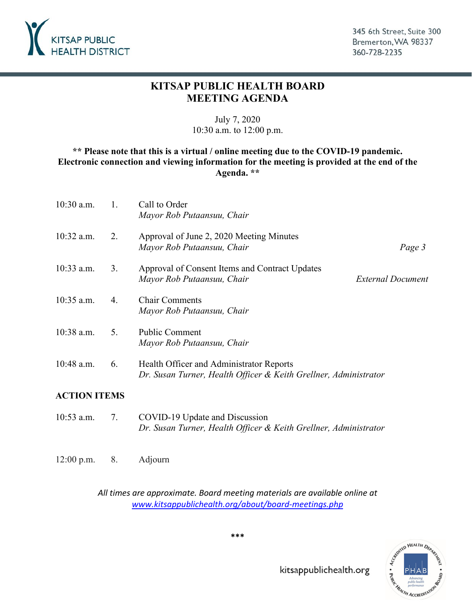

345 6th Street, Suite 300 Bremerton, WA 98337 360-728-2235

# **KITSAP PUBLIC HEALTH BOARD MEETING AGENDA**

## July 7, 2020 10:30 a.m. to 12:00 p.m.

## **\*\* Please note that this is a virtual / online meeting due to the COVID-19 pandemic. Electronic connection and viewing information for the meeting is provided at the end of the Agenda. \*\***

| $10:30$ a.m. | 1. | Call to Order<br>Mayor Rob Putaansuu, Chair                                                                  |                          |
|--------------|----|--------------------------------------------------------------------------------------------------------------|--------------------------|
| $10:32$ a.m. | 2. | Approval of June 2, 2020 Meeting Minutes<br>Mayor Rob Putaansuu, Chair                                       | Page 3                   |
| $10:33$ a.m. | 3. | Approval of Consent Items and Contract Updates<br>Mayor Rob Putaansuu, Chair                                 | <b>External Document</b> |
| $10:35$ a.m. | 4. | <b>Chair Comments</b><br>Mayor Rob Putaansuu, Chair                                                          |                          |
| 10:38 a.m.   | 5. | <b>Public Comment</b><br>Mayor Rob Putaansuu, Chair                                                          |                          |
| 10:48 a.m.   | 6. | Health Officer and Administrator Reports<br>Dr. Susan Turner, Health Officer & Keith Grellner, Administrator |                          |

## **ACTION ITEMS**

- 10:53 a.m. 7. COVID-19 Update and Discussion *Dr. Susan Turner, Health Officer & Keith Grellner, Administrator*
- 12:00 p.m. 8. Adjourn

*All times are approximate. Board meeting materials are available online at [www.kitsappublichealth.org/about/board-meetings.php](http://www.kitsappublichealth.org/about/board-meetings.php)* 



**\*\*\***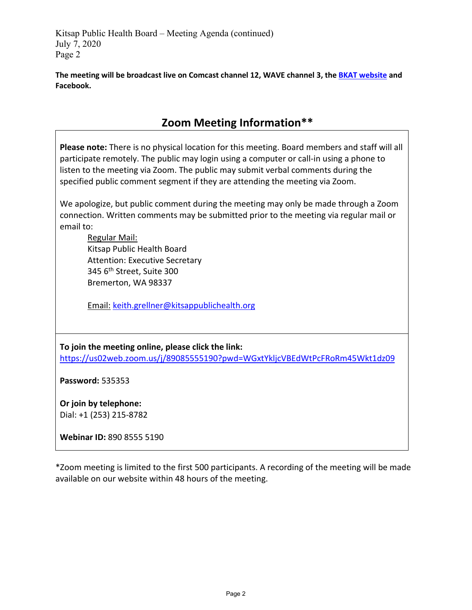Kitsap Public Health Board – Meeting Agenda (continued) July 7, 2020 Page 2

**The meeting will be broadcast live on Comcast channel 12, WAVE channel 3, the [BKAT website](https://nam11.safelinks.protection.outlook.com/?url=https%3A%2F%2Fbremerton.vod.castus.tv%2Fvod%2F%3Flive%3Dch1%26nav%3Dlive&data=02%7C01%7Ctad.sooter%40kitsappublichealth.org%7C70e46eec78d9476d7de908d812df0723%7C63ea23e1c6c043fe8754515c89aa179a%7C1%7C0%7C637280096402868918&sdata=0ZX0kqN8Hu4Jq%2BCWBIZ2C47Hna15%2Bor0269cQefRTh8%3D&reserved=0) and Facebook.**

# **Zoom Meeting Information\*\***

**Please note:** There is no physical location for this meeting. Board members and staff will all participate remotely. The public may login using a computer or call-in using a phone to listen to the meeting via Zoom. The public may submit verbal comments during the specified public comment segment if they are attending the meeting via Zoom.

We apologize, but public comment during the meeting may only be made through a Zoom connection. Written comments may be submitted prior to the meeting via regular mail or email to:

Regular Mail: Kitsap Public Health Board Attention: Executive Secretary 345 6th Street, Suite 300 Bremerton, WA 98337

Email: [keith.grellner@kitsappublichealth.org](mailto:keith.grellner@kitsappublichealth.org)

**To join the meeting online, please click the link:** <https://us02web.zoom.us/j/89085555190?pwd=WGxtYkljcVBEdWtPcFRoRm45Wkt1dz09>

**Password:** 535353

**Or join by telephone:** Dial: +1 (253) 215-8782

**Webinar ID:** 890 8555 5190

\*Zoom meeting is limited to the first 500 participants. A recording of the meeting will be made available on our website within 48 hours of the meeting.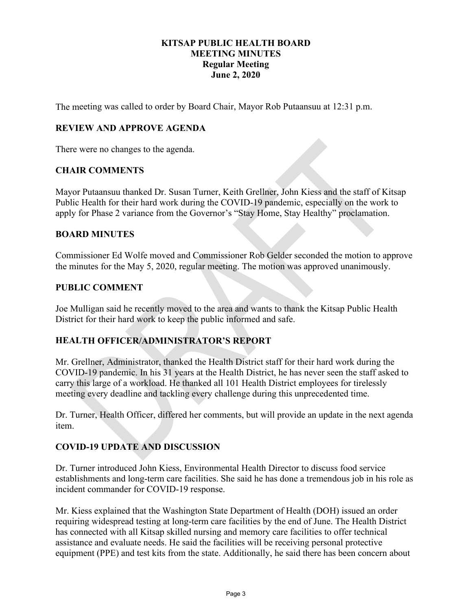### **KITSAP PUBLIC HEALTH BOARD MEETING MINUTES Regular Meeting June 2, 2020**

<span id="page-2-0"></span>The meeting was called to order by Board Chair, Mayor Rob Putaansuu at 12:31 p.m.

## **REVIEW AND APPROVE AGENDA**

There were no changes to the agenda.

#### **CHAIR COMMENTS**

Mayor Putaansuu thanked Dr. Susan Turner, Keith Grellner, John Kiess and the staff of Kitsap Public Health for their hard work during the COVID-19 pandemic, especially on the work to apply for Phase 2 variance from the Governor's "Stay Home, Stay Healthy" proclamation.

#### **BOARD MINUTES**

Commissioner Ed Wolfe moved and Commissioner Rob Gelder seconded the motion to approve the minutes for the May 5, 2020, regular meeting. The motion was approved unanimously.

#### **PUBLIC COMMENT**

Joe Mulligan said he recently moved to the area and wants to thank the Kitsap Public Health District for their hard work to keep the public informed and safe.

## **HEALTH OFFICER/ADMINISTRATOR'S REPORT**

Mr. Grellner, Administrator, thanked the Health District staff for their hard work during the COVID-19 pandemic. In his 31 years at the Health District, he has never seen the staff asked to carry this large of a workload. He thanked all 101 Health District employees for tirelessly meeting every deadline and tackling every challenge during this unprecedented time.

Dr. Turner, Health Officer, differed her comments, but will provide an update in the next agenda item.

## **COVID-19 UPDATE AND DISCUSSION**

Dr. Turner introduced John Kiess, Environmental Health Director to discuss food service establishments and long-term care facilities. She said he has done a tremendous job in his role as incident commander for COVID-19 response.

Mr. Kiess explained that the Washington State Department of Health (DOH) issued an order requiring widespread testing at long-term care facilities by the end of June. The Health District has connected with all Kitsap skilled nursing and memory care facilities to offer technical assistance and evaluate needs. He said the facilities will be receiving personal protective equipment (PPE) and test kits from the state. Additionally, he said there has been concern about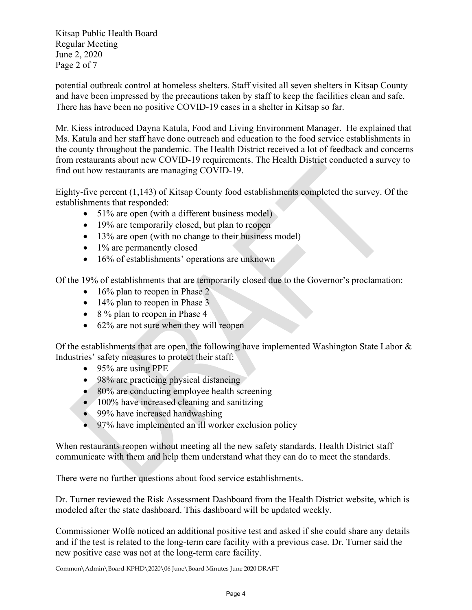Kitsap Public Health Board Regular Meeting June 2, 2020 Page 2 of 7

potential outbreak control at homeless shelters. Staff visited all seven shelters in Kitsap County and have been impressed by the precautions taken by staff to keep the facilities clean and safe. There has have been no positive COVID-19 cases in a shelter in Kitsap so far.

Mr. Kiess introduced Dayna Katula, Food and Living Environment Manager. He explained that Ms. Katula and her staff have done outreach and education to the food service establishments in the county throughout the pandemic. The Health District received a lot of feedback and concerns from restaurants about new COVID-19 requirements. The Health District conducted a survey to find out how restaurants are managing COVID-19.

Eighty-five percent (1,143) of Kitsap County food establishments completed the survey. Of the establishments that responded:

- 51% are open (with a different business model)
- 19% are temporarily closed, but plan to reopen
- 13% are open (with no change to their business model)
- 1% are permanently closed
- 16% of establishments' operations are unknown

Of the 19% of establishments that are temporarily closed due to the Governor's proclamation:

- 16% plan to reopen in Phase 2
- 14% plan to reopen in Phase 3
- 8 % plan to reopen in Phase 4
- 62% are not sure when they will reopen

Of the establishments that are open, the following have implemented Washington State Labor & Industries' safety measures to protect their staff:

- 95% are using PPE
- 98% are practicing physical distancing
- 80% are conducting employee health screening
- 100% have increased cleaning and sanitizing
- 99% have increased handwashing
- 97% have implemented an ill worker exclusion policy

When restaurants reopen without meeting all the new safety standards, Health District staff communicate with them and help them understand what they can do to meet the standards.

There were no further questions about food service establishments.

Dr. Turner reviewed the Risk Assessment Dashboard from the Health District website, which is modeled after the state dashboard. This dashboard will be updated weekly.

Commissioner Wolfe noticed an additional positive test and asked if she could share any details and if the test is related to the long-term care facility with a previous case. Dr. Turner said the new positive case was not at the long-term care facility.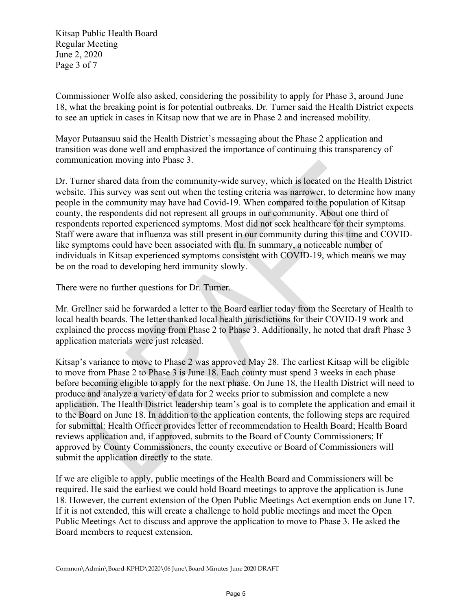Kitsap Public Health Board Regular Meeting June 2, 2020 Page 3 of 7

Commissioner Wolfe also asked, considering the possibility to apply for Phase 3, around June 18, what the breaking point is for potential outbreaks. Dr. Turner said the Health District expects to see an uptick in cases in Kitsap now that we are in Phase 2 and increased mobility.

Mayor Putaansuu said the Health District's messaging about the Phase 2 application and transition was done well and emphasized the importance of continuing this transparency of communication moving into Phase 3.

Dr. Turner shared data from the community-wide survey, which is located on the Health District website. This survey was sent out when the testing criteria was narrower, to determine how many people in the community may have had Covid-19. When compared to the population of Kitsap county, the respondents did not represent all groups in our community. About one third of respondents reported experienced symptoms. Most did not seek healthcare for their symptoms. Staff were aware that influenza was still present in our community during this time and COVIDlike symptoms could have been associated with flu. In summary, a noticeable number of individuals in Kitsap experienced symptoms consistent with COVID-19, which means we may be on the road to developing herd immunity slowly.

There were no further questions for Dr. Turner.

Mr. Grellner said he forwarded a letter to the Board earlier today from the Secretary of Health to local health boards. The letter thanked local health jurisdictions for their COVID-19 work and explained the process moving from Phase 2 to Phase 3. Additionally, he noted that draft Phase 3 application materials were just released.

Kitsap's variance to move to Phase 2 was approved May 28. The earliest Kitsap will be eligible to move from Phase 2 to Phase 3 is June 18. Each county must spend 3 weeks in each phase before becoming eligible to apply for the next phase. On June 18, the Health District will need to produce and analyze a variety of data for 2 weeks prior to submission and complete a new application. The Health District leadership team's goal is to complete the application and email it to the Board on June 18. In addition to the application contents, the following steps are required for submittal: Health Officer provides letter of recommendation to Health Board; Health Board reviews application and, if approved, submits to the Board of County Commissioners; If approved by County Commissioners, the county executive or Board of Commissioners will submit the application directly to the state.

If we are eligible to apply, public meetings of the Health Board and Commissioners will be required. He said the earliest we could hold Board meetings to approve the application is June 18. However, the current extension of the Open Public Meetings Act exemption ends on June 17. If it is not extended, this will create a challenge to hold public meetings and meet the Open Public Meetings Act to discuss and approve the application to move to Phase 3. He asked the Board members to request extension.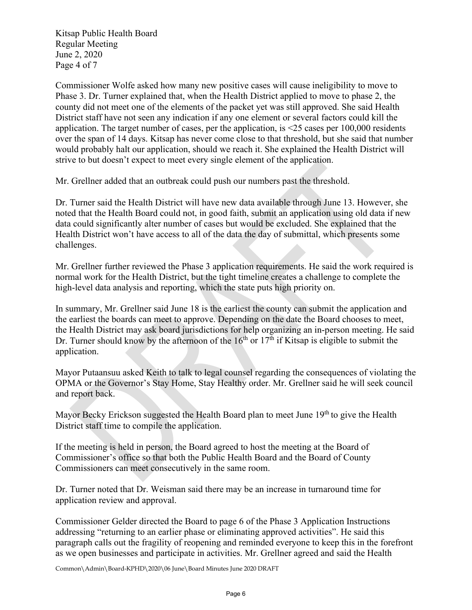Kitsap Public Health Board Regular Meeting June 2, 2020 Page 4 of 7

Commissioner Wolfe asked how many new positive cases will cause ineligibility to move to Phase 3. Dr. Turner explained that, when the Health District applied to move to phase 2, the county did not meet one of the elements of the packet yet was still approved. She said Health District staff have not seen any indication if any one element or several factors could kill the application. The target number of cases, per the application, is <25 cases per 100,000 residents over the span of 14 days. Kitsap has never come close to that threshold, but she said that number would probably halt our application, should we reach it. She explained the Health District will strive to but doesn't expect to meet every single element of the application.

Mr. Grellner added that an outbreak could push our numbers past the threshold.

Dr. Turner said the Health District will have new data available through June 13. However, she noted that the Health Board could not, in good faith, submit an application using old data if new data could significantly alter number of cases but would be excluded. She explained that the Health District won't have access to all of the data the day of submittal, which presents some challenges.

Mr. Grellner further reviewed the Phase 3 application requirements. He said the work required is normal work for the Health District, but the tight timeline creates a challenge to complete the high-level data analysis and reporting, which the state puts high priority on.

In summary, Mr. Grellner said June 18 is the earliest the county can submit the application and the earliest the boards can meet to approve. Depending on the date the Board chooses to meet, the Health District may ask board jurisdictions for help organizing an in-person meeting. He said Dr. Turner should know by the afternoon of the  $16<sup>th</sup>$  or  $17<sup>th</sup>$  if Kitsap is eligible to submit the application.

Mayor Putaansuu asked Keith to talk to legal counsel regarding the consequences of violating the OPMA or the Governor's Stay Home, Stay Healthy order. Mr. Grellner said he will seek council and report back.

Mayor Becky Erickson suggested the Health Board plan to meet June 19<sup>th</sup> to give the Health District staff time to compile the application.

If the meeting is held in person, the Board agreed to host the meeting at the Board of Commissioner's office so that both the Public Health Board and the Board of County Commissioners can meet consecutively in the same room.

Dr. Turner noted that Dr. Weisman said there may be an increase in turnaround time for application review and approval.

Commissioner Gelder directed the Board to page 6 of the Phase 3 Application Instructions addressing "returning to an earlier phase or eliminating approved activities". He said this paragraph calls out the fragility of reopening and reminded everyone to keep this in the forefront as we open businesses and participate in activities. Mr. Grellner agreed and said the Health

Common\Admin\Board-KPHD\2020\06 June\Board Minutes June 2020 DRAFT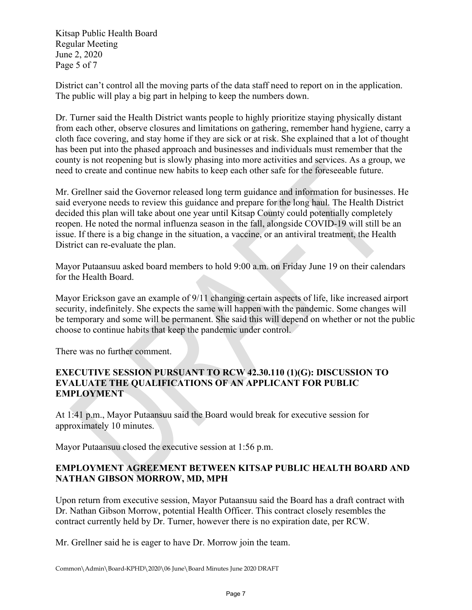Kitsap Public Health Board Regular Meeting June 2, 2020 Page 5 of 7

District can't control all the moving parts of the data staff need to report on in the application. The public will play a big part in helping to keep the numbers down.

Dr. Turner said the Health District wants people to highly prioritize staying physically distant from each other, observe closures and limitations on gathering, remember hand hygiene, carry a cloth face covering, and stay home if they are sick or at risk. She explained that a lot of thought has been put into the phased approach and businesses and individuals must remember that the county is not reopening but is slowly phasing into more activities and services. As a group, we need to create and continue new habits to keep each other safe for the foreseeable future.

Mr. Grellner said the Governor released long term guidance and information for businesses. He said everyone needs to review this guidance and prepare for the long haul. The Health District decided this plan will take about one year until Kitsap County could potentially completely reopen. He noted the normal influenza season in the fall, alongside COVID-19 will still be an issue. If there is a big change in the situation, a vaccine, or an antiviral treatment, the Health District can re-evaluate the plan.

Mayor Putaansuu asked board members to hold 9:00 a.m. on Friday June 19 on their calendars for the Health Board.

Mayor Erickson gave an example of 9/11 changing certain aspects of life, like increased airport security, indefinitely. She expects the same will happen with the pandemic. Some changes will be temporary and some will be permanent. She said this will depend on whether or not the public choose to continue habits that keep the pandemic under control.

There was no further comment.

## **EXECUTIVE SESSION PURSUANT TO RCW 42.30.110 (1)(G): DISCUSSION TO EVALUATE THE QUALIFICATIONS OF AN APPLICANT FOR PUBLIC EMPLOYMENT**

At 1:41 p.m., Mayor Putaansuu said the Board would break for executive session for approximately 10 minutes.

Mayor Putaansuu closed the executive session at 1:56 p.m.

## **EMPLOYMENT AGREEMENT BETWEEN KITSAP PUBLIC HEALTH BOARD AND NATHAN GIBSON MORROW, MD, MPH**

Upon return from executive session, Mayor Putaansuu said the Board has a draft contract with Dr. Nathan Gibson Morrow, potential Health Officer. This contract closely resembles the contract currently held by Dr. Turner, however there is no expiration date, per RCW.

Mr. Grellner said he is eager to have Dr. Morrow join the team.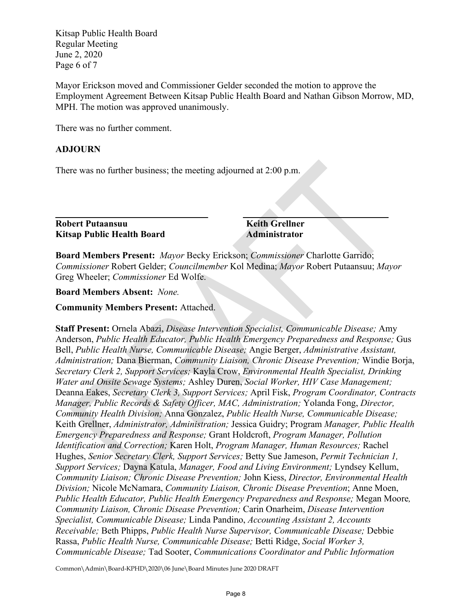Kitsap Public Health Board Regular Meeting June 2, 2020 Page 6 of 7

Mayor Erickson moved and Commissioner Gelder seconded the motion to approve the Employment Agreement Between Kitsap Public Health Board and Nathan Gibson Morrow, MD, MPH. The motion was approved unanimously.

There was no further comment.

#### **ADJOURN**

There was no further business; the meeting adjourned at 2:00 p.m.

**Robert Putaansuu Keith Grellner Kitsap Public Health Board Administrator**

**\_\_\_\_\_\_\_\_\_\_\_\_\_\_\_\_\_\_\_\_\_\_\_\_\_\_\_\_\_\_\_\_\_ \_\_\_\_\_\_\_\_\_\_\_\_\_\_\_\_\_\_\_\_\_\_\_\_\_\_\_\_\_\_\_** 

**Board Members Present:** *Mayor* Becky Erickson; *Commissioner* Charlotte Garrido; *Commissioner* Robert Gelder; *Councilmember* Kol Medina; *Mayor* Robert Putaansuu; *Mayor* Greg Wheeler; *Commissioner* Ed Wolfe.

**Board Members Absent:** *None.*

**Community Members Present:** Attached.

**Staff Present:** Ornela Abazi, *Disease Intervention Specialist, Communicable Disease;* Amy Anderson, *Public Health Educator, Public Health Emergency Preparedness and Response;* Gus Bell, *Public Health Nurse, Communicable Disease;* Angie Berger, *Administrative Assistant, Administration;* Dana Bierman, *Community Liaison, Chronic Disease Prevention;* Windie Borja, *Secretary Clerk 2, Support Services;* Kayla Crow, *Environmental Health Specialist, Drinking Water and Onsite Sewage Systems;* Ashley Duren, *Social Worker, HIV Case Management;* Deanna Eakes, *Secretary Clerk 3, Support Services;* April Fisk, *Program Coordinator, Contracts Manager, Public Records & Safety Officer, MAC, Administration;* Yolanda Fong, *Director, Community Health Division;* Anna Gonzalez, *Public Health Nurse, Communicable Disease;*  Keith Grellner, *Administrator, Administration;* Jessica Guidry; Program *Manager, Public Health Emergency Preparedness and Response;* Grant Holdcroft, *Program Manager, Pollution Identification and Correction;* Karen Holt, *Program Manager, Human Resources;* Rachel Hughes, *Senior Secretary Clerk, Support Services;* Betty Sue Jameson, *Permit Technician 1, Support Services;* Dayna Katula, *Manager, Food and Living Environment;* Lyndsey Kellum, *Community Liaison; Chronic Disease Prevention;* John Kiess, *Director, Environmental Health Division;* Nicole McNamara, *Community Liaison, Chronic Disease Prevention*; Anne Moen, *Public Health Educator, Public Health Emergency Preparedness and Response;* Megan Moore*, Community Liaison, Chronic Disease Prevention;* Carin Onarheim, *Disease Intervention Specialist, Communicable Disease;* Linda Pandino, *Accounting Assistant 2, Accounts Receivable;* Beth Phipps, *Public Health Nurse Supervisor, Communicable Disease;* Debbie Rassa, *Public Health Nurse, Communicable Disease;* Betti Ridge, *Social Worker 3, Communicable Disease;* Tad Sooter, *Communications Coordinator and Public Information* 

Common\Admin\Board-KPHD\2020\06 June\Board Minutes June 2020 DRAFT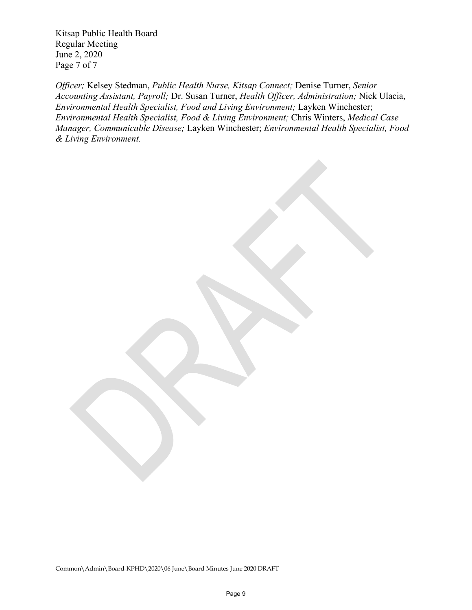Kitsap Public Health Board Regular Meeting June 2, 2020 Page 7 of 7

*Officer;* Kelsey Stedman, *Public Health Nurse, Kitsap Connect;* Denise Turner, *Senior Accounting Assistant, Payroll;* Dr. Susan Turner, *Health Officer, Administration;* Nick Ulacia, *Environmental Health Specialist, Food and Living Environment;* Layken Winchester; *Environmental Health Specialist, Food & Living Environment;* Chris Winters, *Medical Case Manager, Communicable Disease;* Layken Winchester; *Environmental Health Specialist, Food & Living Environment.*